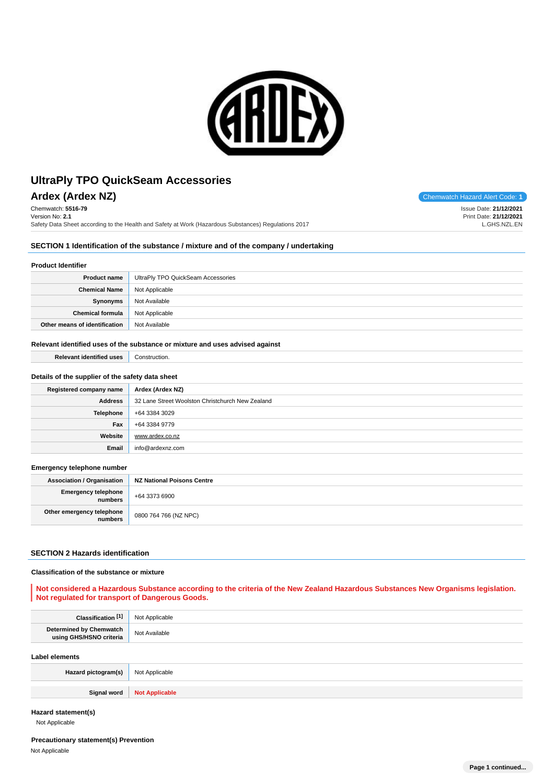

**Ardex (Ardex NZ)** Chemwatch Hazard Alert Code: 1 Chemwatch: **5516-79** Version No: **2.1**

Safety Data Sheet according to the Health and Safety at Work (Hazardous Substances) Regulations 2017

Issue Date: **21/12/2021** Print Date: **21/12/2021** L.GHS.NZL.EN

#### **SECTION 1 Identification of the substance / mixture and of the company / undertaking**

### **Product Identifier**

| <b>Product name</b>           | UltraPly TPO QuickSeam Accessories |
|-------------------------------|------------------------------------|
| <b>Chemical Name</b>          | Not Applicable                     |
| Synonyms                      | Not Available                      |
| <b>Chemical formula</b>       | Not Applicable                     |
| Other means of identification | Not Available                      |

#### **Relevant identified uses of the substance or mixture and uses advised against**

**Relevant identified uses** Construction.

### **Details of the supplier of the safety data sheet**

| Registered company name | Ardex (Ardex NZ)                                 |
|-------------------------|--------------------------------------------------|
| <b>Address</b>          | 32 Lane Street Woolston Christchurch New Zealand |
| <b>Telephone</b>        | +64 3384 3029                                    |
| Fax                     | +64 3384 9779                                    |
| Website                 | www.ardex.co.nz                                  |
| Email                   | info@ardexnz.com                                 |

#### **Emergency telephone number**

| <b>Association / Organisation</b>    | NZ National Poisons Centre |
|--------------------------------------|----------------------------|
| Emergency telephone<br>numbers       | +64 3373 6900              |
| Other emergency telephone<br>numbers | 0800 764 766 (NZ NPC)      |

# **SECTION 2 Hazards identification**

#### **Classification of the substance or mixture**

# **Not considered a Hazardous Substance according to the criteria of the New Zealand Hazardous Substances New Organisms legislation. Not regulated for transport of Dangerous Goods.**

| Classification <sup>[1]</sup>                      | Not Applicable        |
|----------------------------------------------------|-----------------------|
| Determined by Chemwatch<br>using GHS/HSNO criteria | Not Available         |
| <b>Label elements</b>                              |                       |
| Hazard pictogram(s)                                | Not Applicable        |
| Signal word                                        | <b>Not Applicable</b> |

### **Hazard statement(s)**

Not Applicable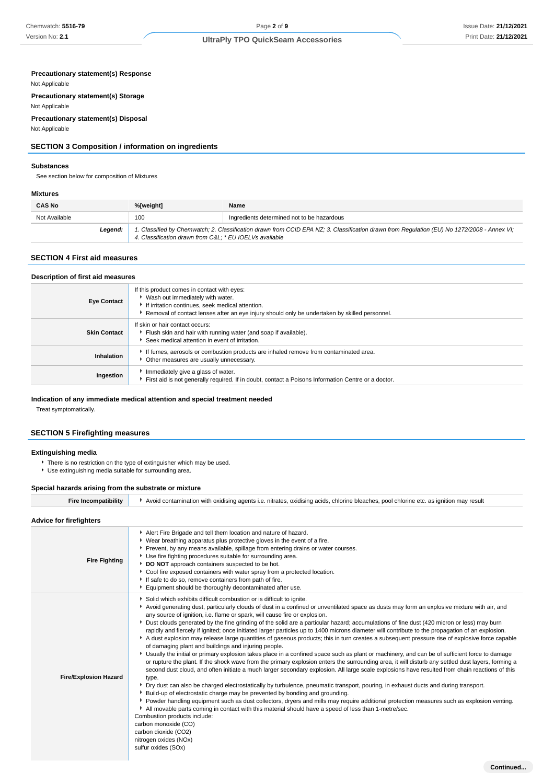#### **Precautionary statement(s) Response**

Not Applicable

**Precautionary statement(s) Storage** Not Applicable

# **Precautionary statement(s) Disposal**

Not Applicable

# **SECTION 3 Composition / information on ingredients**

#### **Substances**

See section below for composition of Mixtures

# **Mixtures**

| <b>CAS No</b> | %[weight]<br>Name                                                                                                                                                                                     |                                            |
|---------------|-------------------------------------------------------------------------------------------------------------------------------------------------------------------------------------------------------|--------------------------------------------|
| Not Available | 100                                                                                                                                                                                                   | Ingredients determined not to be hazardous |
| Leaend:       | 1. Classified by Chemwatch; 2. Classification drawn from CCID EPA NZ; 3. Classification drawn from Regulation (EU) No 1272/2008 - Annex VI;<br>4. Classification drawn from C&L * EU IOELVs available |                                            |

### **SECTION 4 First aid measures**

#### **Description of first aid measures**

| <b>Eye Contact</b>  | If this product comes in contact with eyes:<br>▶ Wash out immediately with water.<br>If irritation continues, seek medical attention.<br>Removal of contact lenses after an eye injury should only be undertaken by skilled personnel. |
|---------------------|----------------------------------------------------------------------------------------------------------------------------------------------------------------------------------------------------------------------------------------|
| <b>Skin Contact</b> | If skin or hair contact occurs:<br>Flush skin and hair with running water (and soap if available).<br>▶ Seek medical attention in event of irritation.                                                                                 |
| Inhalation          | If fumes, aerosols or combustion products are inhaled remove from contaminated area.<br>Other measures are usually unnecessary.                                                                                                        |
| Ingestion           | Immediately give a glass of water.<br>First aid is not generally required. If in doubt, contact a Poisons Information Centre or a doctor.                                                                                              |

### **Indication of any immediate medical attention and special treatment needed**

Treat symptomatically.

# **SECTION 5 Firefighting measures**

### **Extinguishing media**

There is no restriction on the type of extinguisher which may be used.

Use extinguishing media suitable for surrounding area.

### **Special hazards arising from the substrate or mixture**

Fire Incompatibility **A**void contamination with oxidising agents i.e. nitrates, oxidising acids, chlorine bleaches, pool chlorine etc. as ignition may result

### **Advice for firefighters**

| <b>Fire Fighting</b>         | Alert Fire Brigade and tell them location and nature of hazard.<br>• Wear breathing apparatus plus protective gloves in the event of a fire.<br>Prevent, by any means available, spillage from entering drains or water courses.<br>• Use fire fighting procedures suitable for surrounding area.<br>DO NOT approach containers suspected to be hot.<br>• Cool fire exposed containers with water spray from a protected location.<br>If safe to do so, remove containers from path of fire.<br>Equipment should be thoroughly decontaminated after use.                                                                                                                                                                                                                                                                                                                                                                                                                                                                                                                                                                                                                                                                                                                                                                                                                                                                                                                                                                                                                                                                                                                                                                                                                                                                                                                                          |
|------------------------------|---------------------------------------------------------------------------------------------------------------------------------------------------------------------------------------------------------------------------------------------------------------------------------------------------------------------------------------------------------------------------------------------------------------------------------------------------------------------------------------------------------------------------------------------------------------------------------------------------------------------------------------------------------------------------------------------------------------------------------------------------------------------------------------------------------------------------------------------------------------------------------------------------------------------------------------------------------------------------------------------------------------------------------------------------------------------------------------------------------------------------------------------------------------------------------------------------------------------------------------------------------------------------------------------------------------------------------------------------------------------------------------------------------------------------------------------------------------------------------------------------------------------------------------------------------------------------------------------------------------------------------------------------------------------------------------------------------------------------------------------------------------------------------------------------------------------------------------------------------------------------------------------------|
| <b>Fire/Explosion Hazard</b> | Solid which exhibits difficult combustion or is difficult to ignite.<br>Avoid generating dust, particularly clouds of dust in a confined or unventilated space as dusts may form an explosive mixture with air, and<br>any source of ignition, i.e. flame or spark, will cause fire or explosion.<br>> Dust clouds generated by the fine grinding of the solid are a particular hazard; accumulations of fine dust (420 micron or less) may burn<br>rapidly and fiercely if ignited; once initiated larger particles up to 1400 microns diameter will contribute to the propagation of an explosion.<br>A dust explosion may release large quantities of gaseous products; this in turn creates a subsequent pressure rise of explosive force capable<br>of damaging plant and buildings and injuring people.<br>▶ Usually the initial or primary explosion takes place in a confined space such as plant or machinery, and can be of sufficient force to damage<br>or rupture the plant. If the shock wave from the primary explosion enters the surrounding area, it will disturb any settled dust layers, forming a<br>second dust cloud, and often initiate a much larger secondary explosion. All large scale explosions have resulted from chain reactions of this<br>type.<br>▶ Dry dust can also be charged electrostatically by turbulence, pneumatic transport, pouring, in exhaust ducts and during transport.<br>• Build-up of electrostatic charge may be prevented by bonding and grounding.<br>▶ Powder handling equipment such as dust collectors, dryers and mills may require additional protection measures such as explosion venting.<br>All movable parts coming in contact with this material should have a speed of less than 1-metre/sec.<br>Combustion products include:<br>carbon monoxide (CO)<br>carbon dioxide (CO2)<br>nitrogen oxides (NOx)<br>sulfur oxides (SOx) |
|                              | Continued                                                                                                                                                                                                                                                                                                                                                                                                                                                                                                                                                                                                                                                                                                                                                                                                                                                                                                                                                                                                                                                                                                                                                                                                                                                                                                                                                                                                                                                                                                                                                                                                                                                                                                                                                                                                                                                                                         |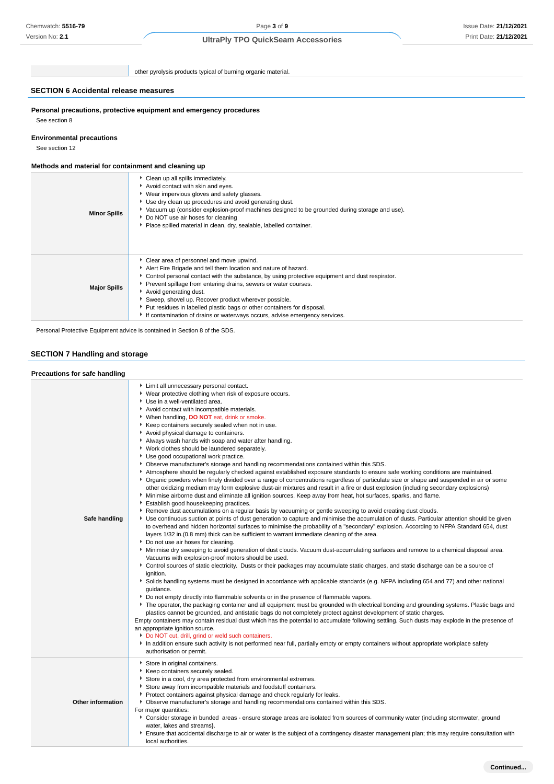other pyrolysis products typical of burning organic material.

#### **SECTION 6 Accidental release measures**

**Personal precautions, protective equipment and emergency procedures**

See section 8

### **Environmental precautions**

See section 12

#### **Methods and material for containment and cleaning up**

| <b>Minor Spills</b> | • Clean up all spills immediately.<br>Avoid contact with skin and eyes.<br>▶ Wear impervious gloves and safety glasses.<br>▶ Use dry clean up procedures and avoid generating dust.<br>▶ Vacuum up (consider explosion-proof machines designed to be grounded during storage and use).<br>▶ Do NOT use air hoses for cleaning<br>Place spilled material in clean, dry, sealable, labelled container.                                                                                                                                 |
|---------------------|--------------------------------------------------------------------------------------------------------------------------------------------------------------------------------------------------------------------------------------------------------------------------------------------------------------------------------------------------------------------------------------------------------------------------------------------------------------------------------------------------------------------------------------|
| <b>Major Spills</b> | • Clear area of personnel and move upwind.<br>Alert Fire Brigade and tell them location and nature of hazard.<br>• Control personal contact with the substance, by using protective equipment and dust respirator.<br>▶ Prevent spillage from entering drains, sewers or water courses.<br>Avoid generating dust.<br>Sweep, shovel up. Recover product wherever possible.<br>▶ Put residues in labelled plastic bags or other containers for disposal.<br>If contamination of drains or waterways occurs, advise emergency services. |

Personal Protective Equipment advice is contained in Section 8 of the SDS.

### **SECTION 7 Handling and storage**

#### **Precautions for safe handling Safe handling Limit all unnecessary personal contact.** Wear protective clothing when risk of exposure occurs. Use in a well-ventilated area. Avoid contact with incompatible materials. When handling, **DO NOT** eat, drink or smoke. Keep containers securely sealed when not in use. Avoid physical damage to containers. Always wash hands with soap and water after handling. Work clothes should be laundered separately. Use good occupational work practice. Observe manufacturer's storage and handling recommendations contained within this SDS. Atmosphere should be regularly checked against established exposure standards to ensure safe working conditions are maintained. Organic powders when finely divided over a range of concentrations regardless of particulate size or shape and suspended in air or some other oxidizing medium may form explosive dust-air mixtures and result in a fire or dust explosion (including secondary explosions) Minimise airborne dust and eliminate all ignition sources. Keep away from heat, hot surfaces, sparks, and flame. Establish good housekeeping practices. Remove dust accumulations on a regular basis by vacuuming or gentle sweeping to avoid creating dust clouds. Use continuous suction at points of dust generation to capture and minimise the accumulation of dusts. Particular attention should be given to overhead and hidden horizontal surfaces to minimise the probability of a "secondary" explosion. According to NFPA Standard 654, dust layers 1/32 in.(0.8 mm) thick can be sufficient to warrant immediate cleaning of the area. Do not use air hoses for cleaning. Minimise dry sweeping to avoid generation of dust clouds. Vacuum dust-accumulating surfaces and remove to a chemical disposal area. Vacuums with explosion-proof motors should be used. Control sources of static electricity. Dusts or their packages may accumulate static charges, and static discharge can be a source of ignition. Solids handling systems must be designed in accordance with applicable standards (e.g. NFPA including 654 and 77) and other national guidance. Do not empty directly into flammable solvents or in the presence of flammable vapors. The operator, the packaging container and all equipment must be grounded with electrical bonding and grounding systems. Plastic bags and plastics cannot be grounded, and antistatic bags do not completely protect against development of static charges. Empty containers may contain residual dust which has the potential to accumulate following settling. Such dusts may explode in the presence of an appropriate ignition source. **Do NOT cut, drill, grind or weld such containers.**  $\blacksquare$  In addition ensure such activity is not performed near full, partially empty or empty containers without appropriate workplace safety authorisation or permit. **Other information** Store in original containers.  $\overline{\phantom{a}}$  Keep containers securely sealed. Store in a cool, dry area protected from environmental extremes. Store away from incompatible materials and foodstuff containers. Protect containers against physical damage and check regularly for leaks. Observe manufacturer's storage and handling recommendations contained within this SDS. For major quantities: Consider storage in bunded areas - ensure storage areas are isolated from sources of community water (including stormwater, ground water, lakes and streams} Fisure that accidental discharge to air or water is the subject of a contingency disaster management plan; this may require consultation with local authorities.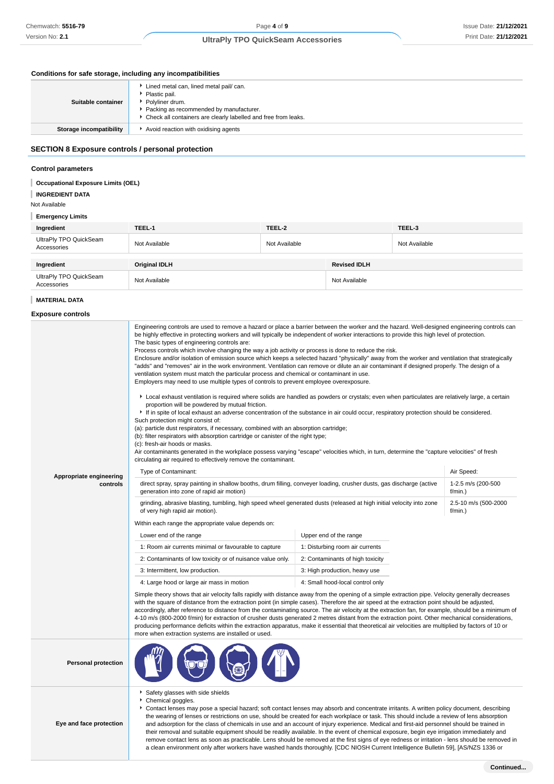### **Conditions for safe storage, including any incompatibilities**

| Suitable container      | Lined metal can, lined metal pail/ can.<br>Plastic pail.<br>Polyliner drum.<br>▶ Packing as recommended by manufacturer.<br>▶ Check all containers are clearly labelled and free from leaks. |
|-------------------------|----------------------------------------------------------------------------------------------------------------------------------------------------------------------------------------------|
| Storage incompatibility | Avoid reaction with oxidising agents                                                                                                                                                         |

# **SECTION 8 Exposure controls / personal protection**

#### **Control parameters**

#### T **Occupational Exposure Limits (OEL)**

**INGREDIENT DATA** I

Not Available

### **Emergency Limits**

| Ingredient                            | TEEL-1               | TEEL-2        |                     | TEEL-3        |
|---------------------------------------|----------------------|---------------|---------------------|---------------|
| UltraPly TPO QuickSeam<br>Accessories | Not Available        | Not Available |                     | Not Available |
|                                       |                      |               |                     |               |
| Ingredient                            | <b>Original IDLH</b> |               | <b>Revised IDLH</b> |               |
| UltraPly TPO QuickSeam<br>Accessories | Not Available        |               | Not Available       |               |

### **MATERIAL DATA**

**Exposure controls**

|                            | Engineering controls are used to remove a hazard or place a barrier between the worker and the hazard. Well-designed engineering controls can<br>be highly effective in protecting workers and will typically be independent of worker interactions to provide this high level of protection.<br>The basic types of engineering controls are:<br>Process controls which involve changing the way a job activity or process is done to reduce the risk.<br>Enclosure and/or isolation of emission source which keeps a selected hazard "physically" away from the worker and ventilation that strategically<br>"adds" and "removes" air in the work environment. Ventilation can remove or dilute an air contaminant if designed properly. The design of a<br>ventilation system must match the particular process and chemical or contaminant in use.<br>Employers may need to use multiple types of controls to prevent employee overexposure.<br>Local exhaust ventilation is required where solids are handled as powders or crystals; even when particulates are relatively large, a certain<br>proportion will be powdered by mutual friction.<br>• If in spite of local exhaust an adverse concentration of the substance in air could occur, respiratory protection should be considered.<br>Such protection might consist of:<br>(a): particle dust respirators, if necessary, combined with an absorption cartridge;<br>(b): filter respirators with absorption cartridge or canister of the right type;<br>(c): fresh-air hoods or masks.<br>Air contaminants generated in the workplace possess varying "escape" velocities which, in turn, determine the "capture velocities" of fresh<br>circulating air required to effectively remove the contaminant. |                                  |                                  |  |  |
|----------------------------|-----------------------------------------------------------------------------------------------------------------------------------------------------------------------------------------------------------------------------------------------------------------------------------------------------------------------------------------------------------------------------------------------------------------------------------------------------------------------------------------------------------------------------------------------------------------------------------------------------------------------------------------------------------------------------------------------------------------------------------------------------------------------------------------------------------------------------------------------------------------------------------------------------------------------------------------------------------------------------------------------------------------------------------------------------------------------------------------------------------------------------------------------------------------------------------------------------------------------------------------------------------------------------------------------------------------------------------------------------------------------------------------------------------------------------------------------------------------------------------------------------------------------------------------------------------------------------------------------------------------------------------------------------------------------------------------------------------------------------------------------------------------------|----------------------------------|----------------------------------|--|--|
| Appropriate engineering    | Type of Contaminant:                                                                                                                                                                                                                                                                                                                                                                                                                                                                                                                                                                                                                                                                                                                                                                                                                                                                                                                                                                                                                                                                                                                                                                                                                                                                                                                                                                                                                                                                                                                                                                                                                                                                                                                                                  |                                  | Air Speed:                       |  |  |
| controls                   | direct spray, spray painting in shallow booths, drum filling, conveyer loading, crusher dusts, gas discharge (active<br>generation into zone of rapid air motion)                                                                                                                                                                                                                                                                                                                                                                                                                                                                                                                                                                                                                                                                                                                                                                                                                                                                                                                                                                                                                                                                                                                                                                                                                                                                                                                                                                                                                                                                                                                                                                                                     |                                  | 1-2.5 m/s (200-500<br>$f/min.$ ) |  |  |
|                            | grinding, abrasive blasting, tumbling, high speed wheel generated dusts (released at high initial velocity into zone<br>of very high rapid air motion).                                                                                                                                                                                                                                                                                                                                                                                                                                                                                                                                                                                                                                                                                                                                                                                                                                                                                                                                                                                                                                                                                                                                                                                                                                                                                                                                                                                                                                                                                                                                                                                                               |                                  | 2.5-10 m/s (500-2000<br>f/min.)  |  |  |
|                            | Within each range the appropriate value depends on:                                                                                                                                                                                                                                                                                                                                                                                                                                                                                                                                                                                                                                                                                                                                                                                                                                                                                                                                                                                                                                                                                                                                                                                                                                                                                                                                                                                                                                                                                                                                                                                                                                                                                                                   |                                  |                                  |  |  |
|                            | Upper end of the range<br>Lower end of the range                                                                                                                                                                                                                                                                                                                                                                                                                                                                                                                                                                                                                                                                                                                                                                                                                                                                                                                                                                                                                                                                                                                                                                                                                                                                                                                                                                                                                                                                                                                                                                                                                                                                                                                      |                                  |                                  |  |  |
|                            | 1: Room air currents minimal or favourable to capture                                                                                                                                                                                                                                                                                                                                                                                                                                                                                                                                                                                                                                                                                                                                                                                                                                                                                                                                                                                                                                                                                                                                                                                                                                                                                                                                                                                                                                                                                                                                                                                                                                                                                                                 | 1: Disturbing room air currents  |                                  |  |  |
|                            | 2: Contaminants of low toxicity or of nuisance value only.                                                                                                                                                                                                                                                                                                                                                                                                                                                                                                                                                                                                                                                                                                                                                                                                                                                                                                                                                                                                                                                                                                                                                                                                                                                                                                                                                                                                                                                                                                                                                                                                                                                                                                            | 2: Contaminants of high toxicity |                                  |  |  |
|                            | 3: Intermittent, low production.                                                                                                                                                                                                                                                                                                                                                                                                                                                                                                                                                                                                                                                                                                                                                                                                                                                                                                                                                                                                                                                                                                                                                                                                                                                                                                                                                                                                                                                                                                                                                                                                                                                                                                                                      | 3: High production, heavy use    |                                  |  |  |
|                            | 4: Large hood or large air mass in motion                                                                                                                                                                                                                                                                                                                                                                                                                                                                                                                                                                                                                                                                                                                                                                                                                                                                                                                                                                                                                                                                                                                                                                                                                                                                                                                                                                                                                                                                                                                                                                                                                                                                                                                             | 4: Small hood-local control only |                                  |  |  |
|                            | Simple theory shows that air velocity falls rapidly with distance away from the opening of a simple extraction pipe. Velocity generally decreases<br>with the square of distance from the extraction point (in simple cases). Therefore the air speed at the extraction point should be adjusted,<br>accordingly, after reference to distance from the contaminating source. The air velocity at the extraction fan, for example, should be a minimum of<br>4-10 m/s (800-2000 f/min) for extraction of crusher dusts generated 2 metres distant from the extraction point. Other mechanical considerations,<br>producing performance deficits within the extraction apparatus, make it essential that theoretical air velocities are multiplied by factors of 10 or<br>more when extraction systems are installed or used.                                                                                                                                                                                                                                                                                                                                                                                                                                                                                                                                                                                                                                                                                                                                                                                                                                                                                                                                           |                                  |                                  |  |  |
| <b>Personal protection</b> |                                                                                                                                                                                                                                                                                                                                                                                                                                                                                                                                                                                                                                                                                                                                                                                                                                                                                                                                                                                                                                                                                                                                                                                                                                                                                                                                                                                                                                                                                                                                                                                                                                                                                                                                                                       |                                  |                                  |  |  |
|                            | Safety glasses with side shields<br>Chemical goggles.<br>Contact lenses may pose a special hazard; soft contact lenses may absorb and concentrate irritants. A written policy document, describing<br>the wearing of lenses or restrictions on use, should be created for each workplace or task. This should include a review of lens absorption                                                                                                                                                                                                                                                                                                                                                                                                                                                                                                                                                                                                                                                                                                                                                                                                                                                                                                                                                                                                                                                                                                                                                                                                                                                                                                                                                                                                                     |                                  |                                  |  |  |

the wearing of lenses or restrictions on use, should be created for each workplace or task. This should include a review of lens absorption and adsorption for the class of chemicals in use and an account of injury experience. Medical and first-aid personnel should be trained in their removal and suitable equipment should be readily available. In the event of chemical exposure, begin eye irrigation immediately and remove contact lens as soon as practicable. Lens should be removed at the first signs of eye redness or irritation - lens should be removed in a clean environment only after workers have washed hands thoroughly. [CDC NIOSH Current Intelligence Bulletin 59], [AS/NZS 1336 or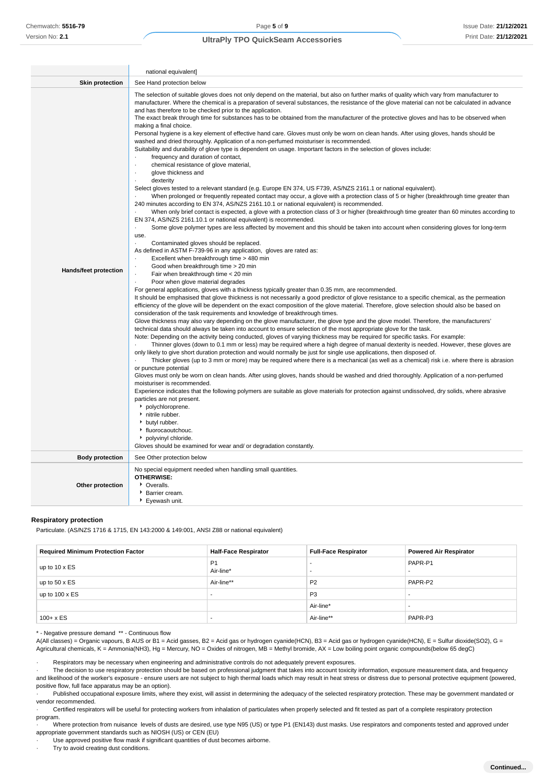|                        | national equivalent]                                                                                                                                                                                                                                                                                                                                                                                                                                                                                                                                                                                                                                                                                                                                                                                                                                                                                                                                                                                                                                                                                                                                                                                                                                                                                                                                                                                                                                                                                                                                                                                                                                                                                                                                                                                                                                                                                                                                                                                                                                                                                                                                                                                                                                                                                                                                                                                                                                                                                                                                                                                                                                                                                                                                                                                                                                                                                                                                                                                                                                                                                                                                                                                                                                                                                                                                                                                                                                                                                                                                                                                                                                                                                                                                                                                                                                                                                                     |  |  |
|------------------------|--------------------------------------------------------------------------------------------------------------------------------------------------------------------------------------------------------------------------------------------------------------------------------------------------------------------------------------------------------------------------------------------------------------------------------------------------------------------------------------------------------------------------------------------------------------------------------------------------------------------------------------------------------------------------------------------------------------------------------------------------------------------------------------------------------------------------------------------------------------------------------------------------------------------------------------------------------------------------------------------------------------------------------------------------------------------------------------------------------------------------------------------------------------------------------------------------------------------------------------------------------------------------------------------------------------------------------------------------------------------------------------------------------------------------------------------------------------------------------------------------------------------------------------------------------------------------------------------------------------------------------------------------------------------------------------------------------------------------------------------------------------------------------------------------------------------------------------------------------------------------------------------------------------------------------------------------------------------------------------------------------------------------------------------------------------------------------------------------------------------------------------------------------------------------------------------------------------------------------------------------------------------------------------------------------------------------------------------------------------------------------------------------------------------------------------------------------------------------------------------------------------------------------------------------------------------------------------------------------------------------------------------------------------------------------------------------------------------------------------------------------------------------------------------------------------------------------------------------------------------------------------------------------------------------------------------------------------------------------------------------------------------------------------------------------------------------------------------------------------------------------------------------------------------------------------------------------------------------------------------------------------------------------------------------------------------------------------------------------------------------------------------------------------------------------------------------------------------------------------------------------------------------------------------------------------------------------------------------------------------------------------------------------------------------------------------------------------------------------------------------------------------------------------------------------------------------------------------------------------------------------------------------------------------------|--|--|
| <b>Skin protection</b> | See Hand protection below                                                                                                                                                                                                                                                                                                                                                                                                                                                                                                                                                                                                                                                                                                                                                                                                                                                                                                                                                                                                                                                                                                                                                                                                                                                                                                                                                                                                                                                                                                                                                                                                                                                                                                                                                                                                                                                                                                                                                                                                                                                                                                                                                                                                                                                                                                                                                                                                                                                                                                                                                                                                                                                                                                                                                                                                                                                                                                                                                                                                                                                                                                                                                                                                                                                                                                                                                                                                                                                                                                                                                                                                                                                                                                                                                                                                                                                                                                |  |  |
| Hands/feet protection  | The selection of suitable gloves does not only depend on the material, but also on further marks of quality which vary from manufacturer to<br>manufacturer. Where the chemical is a preparation of several substances, the resistance of the glove material can not be calculated in advance<br>and has therefore to be checked prior to the application.<br>The exact break through time for substances has to be obtained from the manufacturer of the protective gloves and has to be observed when<br>making a final choice.<br>Personal hygiene is a key element of effective hand care. Gloves must only be worn on clean hands. After using gloves, hands should be<br>washed and dried thoroughly. Application of a non-perfumed moisturiser is recommended.<br>Suitability and durability of glove type is dependent on usage. Important factors in the selection of gloves include:<br>frequency and duration of contact,<br>chemical resistance of glove material,<br>$\cdot$<br>glove thickness and<br>dexterity<br>Select gloves tested to a relevant standard (e.g. Europe EN 374, US F739, AS/NZS 2161.1 or national equivalent).<br>When prolonged or frequently repeated contact may occur, a glove with a protection class of 5 or higher (breakthrough time greater than<br>240 minutes according to EN 374, AS/NZS 2161.10.1 or national equivalent) is recommended.<br>When only brief contact is expected, a glove with a protection class of 3 or higher (breakthrough time greater than 60 minutes according to<br>EN 374, AS/NZS 2161.10.1 or national equivalent) is recommended.<br>Some glove polymer types are less affected by movement and this should be taken into account when considering gloves for long-term<br>use.<br>Contaminated gloves should be replaced.<br>As defined in ASTM F-739-96 in any application, gloves are rated as:<br>Excellent when breakthrough time > 480 min<br>Good when breakthrough time > 20 min<br>Fair when breakthrough time < 20 min<br>Poor when glove material degrades<br>For general applications, gloves with a thickness typically greater than 0.35 mm, are recommended.<br>It should be emphasised that glove thickness is not necessarily a good predictor of glove resistance to a specific chemical, as the permeation<br>efficiency of the glove will be dependent on the exact composition of the glove material. Therefore, glove selection should also be based on<br>consideration of the task requirements and knowledge of breakthrough times.<br>Glove thickness may also vary depending on the glove manufacturer, the glove type and the glove model. Therefore, the manufacturers'<br>technical data should always be taken into account to ensure selection of the most appropriate glove for the task.<br>Note: Depending on the activity being conducted, gloves of varying thickness may be required for specific tasks. For example:<br>Thinner gloves (down to 0.1 mm or less) may be required where a high degree of manual dexterity is needed. However, these gloves are<br>only likely to give short duration protection and would normally be just for single use applications, then disposed of.<br>Thicker gloves (up to 3 mm or more) may be required where there is a mechanical (as well as a chemical) risk i.e. where there is abrasion<br>or puncture potential<br>Gloves must only be worn on clean hands. After using gloves, hands should be washed and dried thoroughly. Application of a non-perfumed<br>moisturiser is recommended.<br>Experience indicates that the following polymers are suitable as glove materials for protection against undissolved, dry solids, where abrasive<br>particles are not present.<br>polychloroprene.<br>h nitrile rubber.<br>butyl rubber.<br>▶ fluorocaoutchouc.<br>polyvinyl chloride.<br>Gloves should be examined for wear and/ or degradation constantly. |  |  |
| <b>Body protection</b> | See Other protection below                                                                                                                                                                                                                                                                                                                                                                                                                                                                                                                                                                                                                                                                                                                                                                                                                                                                                                                                                                                                                                                                                                                                                                                                                                                                                                                                                                                                                                                                                                                                                                                                                                                                                                                                                                                                                                                                                                                                                                                                                                                                                                                                                                                                                                                                                                                                                                                                                                                                                                                                                                                                                                                                                                                                                                                                                                                                                                                                                                                                                                                                                                                                                                                                                                                                                                                                                                                                                                                                                                                                                                                                                                                                                                                                                                                                                                                                                               |  |  |
| Other protection       | No special equipment needed when handling small quantities.<br><b>OTHERWISE:</b><br>• Overalls.<br>Barrier cream.<br>Eyewash unit.                                                                                                                                                                                                                                                                                                                                                                                                                                                                                                                                                                                                                                                                                                                                                                                                                                                                                                                                                                                                                                                                                                                                                                                                                                                                                                                                                                                                                                                                                                                                                                                                                                                                                                                                                                                                                                                                                                                                                                                                                                                                                                                                                                                                                                                                                                                                                                                                                                                                                                                                                                                                                                                                                                                                                                                                                                                                                                                                                                                                                                                                                                                                                                                                                                                                                                                                                                                                                                                                                                                                                                                                                                                                                                                                                                                       |  |  |

#### **Respiratory protection**

Particulate. (AS/NZS 1716 & 1715, EN 143:2000 & 149:001, ANSI Z88 or national equivalent)

| <b>Required Minimum Protection Factor</b> | <b>Half-Face Respirator</b> | <b>Full-Face Respirator</b> | <b>Powered Air Respirator</b> |
|-------------------------------------------|-----------------------------|-----------------------------|-------------------------------|
| up to $10 \times ES$                      | P <sub>1</sub><br>Air-line* |                             | PAPR-P1                       |
| up to $50 \times ES$                      | Air-line**                  | P <sub>2</sub>              | PAPR-P2                       |
| up to $100 \times ES$                     | .                           | P <sub>3</sub>              |                               |
|                                           |                             | Air-line*                   |                               |
| $100 + x ES$                              | $\overline{\phantom{a}}$    | Air-line**                  | PAPR-P3                       |

\* - Negative pressure demand \*\* - Continuous flow

A(All classes) = Organic vapours, B AUS or B1 = Acid gasses, B2 = Acid gas or hydrogen cyanide(HCN), B3 = Acid gas or hydrogen cyanide(HCN), E = Sulfur dioxide(SO2), G = Agricultural chemicals, K = Ammonia(NH3), Hg = Mercury, NO = Oxides of nitrogen, MB = Methyl bromide, AX = Low boiling point organic compounds(below 65 degC)

Respirators may be necessary when engineering and administrative controls do not adequately prevent exposures.

· The decision to use respiratory protection should be based on professional judgment that takes into account toxicity information, exposure measurement data, and frequency and likelihood of the worker's exposure - ensure users are not subject to high thermal loads which may result in heat stress or distress due to personal protective equipment (powered, positive flow, full face apparatus may be an option).

Published occupational exposure limits, where they exist, will assist in determining the adequacy of the selected respiratory protection. These may be government mandated or vendor recommended.

· Certified respirators will be useful for protecting workers from inhalation of particulates when properly selected and fit tested as part of a complete respiratory protection program.

· Where protection from nuisance levels of dusts are desired, use type N95 (US) or type P1 (EN143) dust masks. Use respirators and components tested and approved under appropriate government standards such as NIOSH (US) or CEN (EU)

· Use approved positive flow mask if significant quantities of dust becomes airborne.

· Try to avoid creating dust conditions.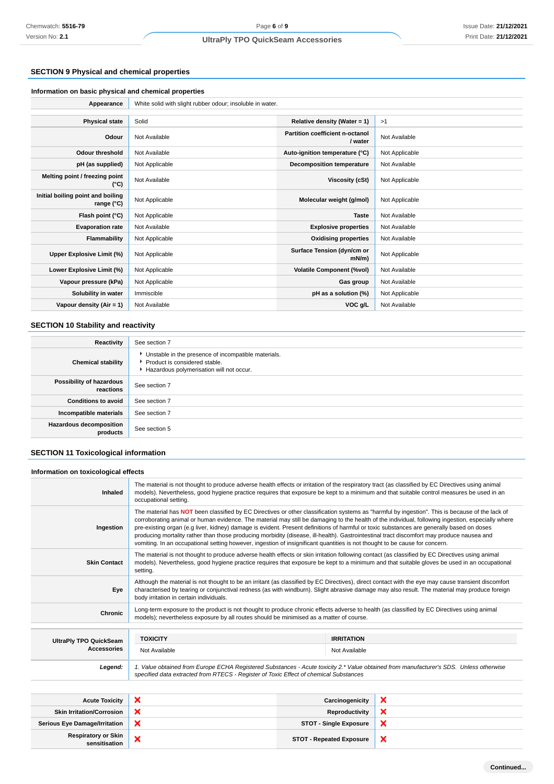# **SECTION 9 Physical and chemical properties**

| Appearance                                      | White solid with slight rubber odour; insoluble in water. |                                            |                |
|-------------------------------------------------|-----------------------------------------------------------|--------------------------------------------|----------------|
|                                                 |                                                           |                                            |                |
| <b>Physical state</b>                           | Solid                                                     | Relative density (Water = $1$ )            | >1             |
| Odour                                           | Not Available                                             | Partition coefficient n-octanol<br>/ water | Not Available  |
| <b>Odour threshold</b>                          | Not Available                                             | Auto-ignition temperature (°C)             | Not Applicable |
| pH (as supplied)                                | Not Applicable                                            | <b>Decomposition temperature</b>           | Not Available  |
| Melting point / freezing point<br>$(^{\circ}C)$ | Not Available                                             | Viscosity (cSt)                            | Not Applicable |
| Initial boiling point and boiling<br>range (°C) | Not Applicable                                            | Molecular weight (g/mol)                   | Not Applicable |
| Flash point (°C)                                | Not Applicable                                            | <b>Taste</b>                               | Not Available  |
| <b>Evaporation rate</b>                         | Not Available                                             | <b>Explosive properties</b>                | Not Available  |
| <b>Flammability</b>                             | Not Applicable                                            | <b>Oxidising properties</b>                | Not Available  |
| Upper Explosive Limit (%)                       | Not Applicable                                            | Surface Tension (dyn/cm or<br>mN/m         | Not Applicable |
| Lower Explosive Limit (%)                       | Not Applicable                                            | <b>Volatile Component (%vol)</b>           | Not Available  |
| Vapour pressure (kPa)                           | Not Applicable                                            | Gas group                                  | Not Available  |
| Solubility in water                             | Immiscible                                                | pH as a solution (%)                       | Not Applicable |
| Vapour density $(Air = 1)$                      | Not Available                                             | VOC g/L                                    | Not Available  |

# **SECTION 10 Stability and reactivity**

| Reactivity                                 | See section 7                                                                                                                        |
|--------------------------------------------|--------------------------------------------------------------------------------------------------------------------------------------|
| <b>Chemical stability</b>                  | • Unstable in the presence of incompatible materials.<br>▶ Product is considered stable.<br>Hazardous polymerisation will not occur. |
| Possibility of hazardous<br>reactions      | See section 7                                                                                                                        |
| <b>Conditions to avoid</b>                 | See section 7                                                                                                                        |
| Incompatible materials                     | See section 7                                                                                                                        |
| <b>Hazardous decomposition</b><br>products | See section 5                                                                                                                        |

# **SECTION 11 Toxicological information**

# **Information on toxicological effects**

| Inhaled                       | The material is not thought to produce adverse health effects or irritation of the respiratory tract (as classified by EC Directives using animal<br>models). Nevertheless, good hygiene practice requires that exposure be kept to a minimum and that suitable control measures be used in an<br>occupational setting.                                                                                                                                                                                                                                                                                                                                                                                                       |                   |  |
|-------------------------------|-------------------------------------------------------------------------------------------------------------------------------------------------------------------------------------------------------------------------------------------------------------------------------------------------------------------------------------------------------------------------------------------------------------------------------------------------------------------------------------------------------------------------------------------------------------------------------------------------------------------------------------------------------------------------------------------------------------------------------|-------------------|--|
| Ingestion                     | The material has NOT been classified by EC Directives or other classification systems as "harmful by ingestion". This is because of the lack of<br>corroborating animal or human evidence. The material may still be damaging to the health of the individual, following ingestion, especially where<br>pre-existing organ (e.g liver, kidney) damage is evident. Present definitions of harmful or toxic substances are generally based on doses<br>producing mortality rather than those producing morbidity (disease, ill-health). Gastrointestinal tract discomfort may produce nausea and<br>vomiting. In an occupational setting however, ingestion of insignificant quantities is not thought to be cause for concern. |                   |  |
| <b>Skin Contact</b>           | The material is not thought to produce adverse health effects or skin irritation following contact (as classified by EC Directives using animal<br>models). Nevertheless, good hygiene practice requires that exposure be kept to a minimum and that suitable gloves be used in an occupational<br>setting.                                                                                                                                                                                                                                                                                                                                                                                                                   |                   |  |
| Eye                           | Although the material is not thought to be an irritant (as classified by EC Directives), direct contact with the eye may cause transient discomfort<br>characterised by tearing or conjunctival redness (as with windburn). Slight abrasive damage may also result. The material may produce foreign<br>body irritation in certain individuals.                                                                                                                                                                                                                                                                                                                                                                               |                   |  |
| <b>Chronic</b>                | Long-term exposure to the product is not thought to produce chronic effects adverse to health (as classified by EC Directives using animal<br>models); nevertheless exposure by all routes should be minimised as a matter of course.                                                                                                                                                                                                                                                                                                                                                                                                                                                                                         |                   |  |
|                               |                                                                                                                                                                                                                                                                                                                                                                                                                                                                                                                                                                                                                                                                                                                               |                   |  |
| <b>UltraPly TPO QuickSeam</b> | <b>TOXICITY</b>                                                                                                                                                                                                                                                                                                                                                                                                                                                                                                                                                                                                                                                                                                               | <b>IRRITATION</b> |  |
| <b>Accessories</b>            | Not Available                                                                                                                                                                                                                                                                                                                                                                                                                                                                                                                                                                                                                                                                                                                 | Not Available     |  |
| Legend:                       | 1. Value obtained from Europe ECHA Registered Substances - Acute toxicity 2.* Value obtained from manufacturer's SDS. Unless otherwise<br>specified data extracted from RTECS - Register of Toxic Effect of chemical Substances                                                                                                                                                                                                                                                                                                                                                                                                                                                                                               |                   |  |
|                               |                                                                                                                                                                                                                                                                                                                                                                                                                                                                                                                                                                                                                                                                                                                               |                   |  |

| <b>Acute Toxicity</b>                       | Carcinogenicity                 |   |
|---------------------------------------------|---------------------------------|---|
| <b>Skin Irritation/Corrosion</b>            | Reproductivity                  |   |
| <b>Serious Eye Damage/Irritation</b>        | <b>STOT - Single Exposure</b>   |   |
| <b>Respiratory or Skin</b><br>sensitisation | <b>STOT - Repeated Exposure</b> | ◠ |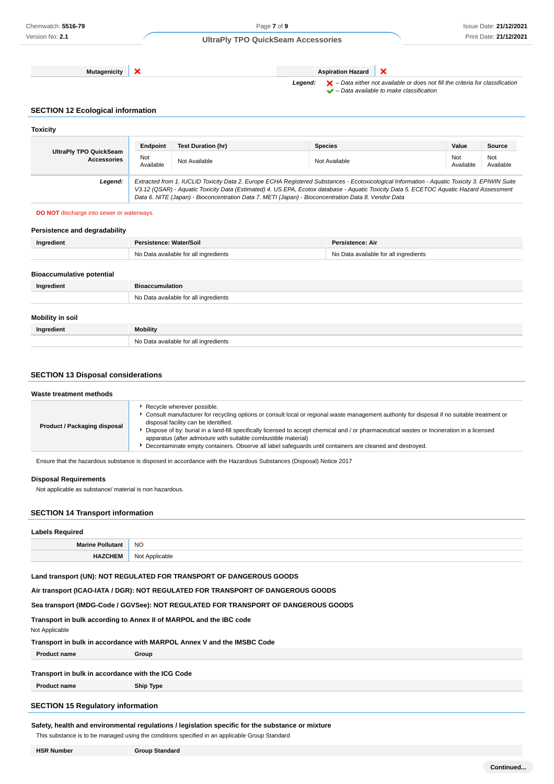**Mutagenicity X Aspiration Hazard** 

 $\pmb{\times}$ Legend:  $\blacktriangleright$  - Data either not available or does not fill the criteria for classification

 $\blacktriangleright$  – Data available to make classification

# **SECTION 12 Ecological information**

| <b>Toxicity</b>                              |                                                                                                                                                                                                                                                                                                                                                                                                 |                           |                |                  |                  |
|----------------------------------------------|-------------------------------------------------------------------------------------------------------------------------------------------------------------------------------------------------------------------------------------------------------------------------------------------------------------------------------------------------------------------------------------------------|---------------------------|----------------|------------------|------------------|
|                                              | Endpoint                                                                                                                                                                                                                                                                                                                                                                                        | <b>Test Duration (hr)</b> | <b>Species</b> | Value            | Source           |
| UltraPly TPO QuickSeam<br><b>Accessories</b> | Not<br>Available                                                                                                                                                                                                                                                                                                                                                                                | Not Available             | Not Available  | Not<br>Available | Not<br>Available |
| Legend:                                      | Extracted from 1. IUCLID Toxicity Data 2. Europe ECHA Registered Substances - Ecotoxicological Information - Aquatic Toxicity 3. EPIWIN Suite<br>V3.12 (QSAR) - Aquatic Toxicity Data (Estimated) 4. US EPA, Ecotox database - Aquatic Toxicity Data 5. ECETOC Aquatic Hazard Assessment<br>Data 6. NITE (Japan) - Bioconcentration Data 7. METI (Japan) - Bioconcentration Data 8. Vendor Data |                           |                |                  |                  |

#### **DO NOT** discharge into sewer or waterways.

| Persistence and degradability    |                                       |                                       |
|----------------------------------|---------------------------------------|---------------------------------------|
| Ingredient                       | Persistence: Water/Soil               | <b>Persistence: Air</b>               |
|                                  | No Data available for all ingredients | No Data available for all ingredients |
|                                  |                                       |                                       |
| <b>Bioaccumulative potential</b> |                                       |                                       |
| Ingredient                       | <b>Bioaccumulation</b>                |                                       |
|                                  | No Data available for all ingredients |                                       |
|                                  |                                       |                                       |
| <b>Mobility in soil</b>          |                                       |                                       |
| Ingredient                       | <b>Mobility</b>                       |                                       |
|                                  | No Data available for all ingredients |                                       |

### **SECTION 13 Disposal considerations**

|                                                                                                                                                                                                                                                                                                                                                                                                                                                                                                                                                        | Waste treatment methods |                            |
|--------------------------------------------------------------------------------------------------------------------------------------------------------------------------------------------------------------------------------------------------------------------------------------------------------------------------------------------------------------------------------------------------------------------------------------------------------------------------------------------------------------------------------------------------------|-------------------------|----------------------------|
| Consult manufacturer for recycling options or consult local or regional waste management authority for disposal if no suitable treatment or<br>disposal facility can be identified.<br><b>Product / Packaging disposal</b><br>Dispose of by: burial in a land-fill specifically licensed to accept chemical and / or pharmaceutical wastes or Incineration in a licensed<br>apparatus (after admixture with suitable combustible material)<br>Decontaminate empty containers. Observe all label safeguards until containers are cleaned and destroyed. |                         | Recycle wherever possible. |

Ensure that the hazardous substance is disposed in accordance with the Hazardous Substances (Disposal) Notice 2017

#### **Disposal Requirements**

Not applicable as substance/ material is non hazardous.

### **SECTION 14 Transport information**

# **Labels Required**

| __________ |                               |
|------------|-------------------------------|
| Marine     | <b>NO</b>                     |
|            | Nl∩t<br>Applicable<br>٦U<br>. |

# **Land transport (UN): NOT REGULATED FOR TRANSPORT OF DANGEROUS GOODS**

# **Air transport (ICAO-IATA / DGR): NOT REGULATED FOR TRANSPORT OF DANGEROUS GOODS**

# **Sea transport (IMDG-Code / GGVSee): NOT REGULATED FOR TRANSPORT OF DANGEROUS GOODS**

# **Transport in bulk according to Annex II of MARPOL and the IBC code**

#### Not Applicable

### **Transport in bulk in accordance with MARPOL Annex V and the IMSBC Code**

**Product name Group**

#### **Transport in bulk in accordance with the ICG Code**

**Product name Ship Type**

# **SECTION 15 Regulatory information**

# **Safety, health and environmental regulations / legislation specific for the substance or mixture**

This substance is to be managed using the conditions specified in an applicable Group Standard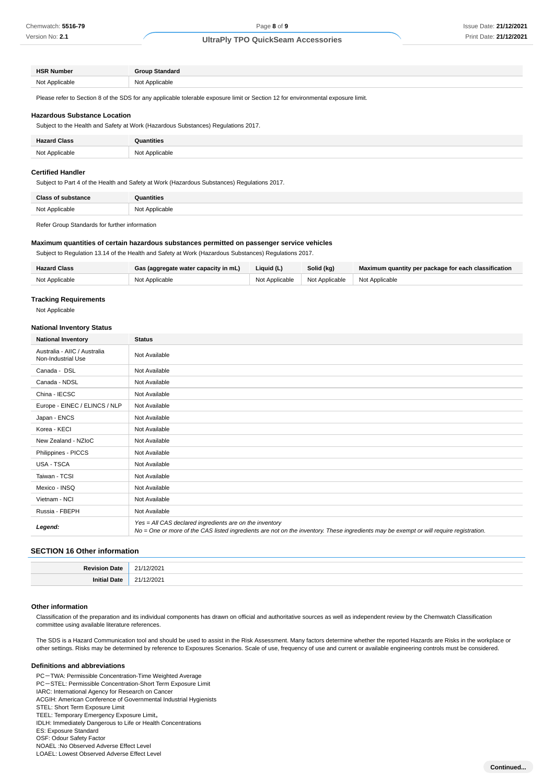| <b>HSR Number</b> | <b>Group Standard</b> |
|-------------------|-----------------------|
|                   |                       |
| Not A             | Not Applicable        |
| : Applicable      | .                     |
| .                 |                       |

Please refer to Section 8 of the SDS for any applicable tolerable exposure limit or Section 12 for environmental exposure limit.

#### **Hazardous Substance Location**

Subject to the Health and Safety at Work (Hazardous Substances) Regulations 2017.

| <b>Hazard Class</b> | Quantities     |
|---------------------|----------------|
| Not Applicable      | Not Applicable |

#### **Certified Handler**

Subject to Part 4 of the Health and Safety at Work (Hazardous Substances) Regulations 2017.

| ימו<br>. | .<br>$\sim$ $\sim$ |
|----------|--------------------|

Refer Group Standards for further information

#### **Maximum quantities of certain hazardous substances permitted on passenger service vehicles**

Subject to Regulation 13.14 of the Health and Safety at Work (Hazardous Substances) Regulations 2017.

| <b>Hazard Class</b> | Gas (aggregate water capacity in mL) | Liquid (L)     | Solid (kg)     | Maximum quantity per package for each classification |
|---------------------|--------------------------------------|----------------|----------------|------------------------------------------------------|
| Not Applicable      | Not Applicable                       | Not Applicable | Not Applicable | Not Applicable                                       |

### **Tracking Requirements**

Not Applicable

#### **National Inventory Status**

| <b>National Inventory</b>                          | <b>Status</b>                                                                                                                                                                                     |
|----------------------------------------------------|---------------------------------------------------------------------------------------------------------------------------------------------------------------------------------------------------|
| Australia - AIIC / Australia<br>Non-Industrial Use | Not Available                                                                                                                                                                                     |
| Canada - DSL                                       | Not Available                                                                                                                                                                                     |
| Canada - NDSL                                      | Not Available                                                                                                                                                                                     |
| China - IECSC                                      | Not Available                                                                                                                                                                                     |
| Europe - EINEC / ELINCS / NLP                      | Not Available                                                                                                                                                                                     |
| Japan - ENCS                                       | Not Available                                                                                                                                                                                     |
| Korea - KECI                                       | Not Available                                                                                                                                                                                     |
| New Zealand - NZIoC                                | Not Available                                                                                                                                                                                     |
| Philippines - PICCS                                | Not Available                                                                                                                                                                                     |
| <b>USA - TSCA</b>                                  | Not Available                                                                                                                                                                                     |
| Taiwan - TCSI                                      | Not Available                                                                                                                                                                                     |
| Mexico - INSQ                                      | Not Available                                                                                                                                                                                     |
| Vietnam - NCI                                      | Not Available                                                                                                                                                                                     |
| Russia - FBEPH                                     | Not Available                                                                                                                                                                                     |
| Legend:                                            | Yes = All CAS declared ingredients are on the inventory<br>No = One or more of the CAS listed ingredients are not on the inventory. These ingredients may be exempt or will require registration. |

#### **SECTION 16 Other information**

#### **Other information**

Classification of the preparation and its individual components has drawn on official and authoritative sources as well as independent review by the Chemwatch Classification committee using available literature references.

The SDS is a Hazard Communication tool and should be used to assist in the Risk Assessment. Many factors determine whether the reported Hazards are Risks in the workplace or other settings. Risks may be determined by reference to Exposures Scenarios. Scale of use, frequency of use and current or available engineering controls must be considered.

#### **Definitions and abbreviations**

PC-TWA: Permissible Concentration-Time Weighted Average PC-STEL: Permissible Concentration-Short Term Exposure Limit IARC: International Agency for Research on Cancer ACGIH: American Conference of Governmental Industrial Hygienists STEL: Short Term Exposure Limit TEEL: Temporary Emergency Exposure Limit。 IDLH: Immediately Dangerous to Life or Health Concentrations ES: Exposure Standard OSF: Odour Safety Factor NOAEL :No Observed Adverse Effect Level LOAEL: Lowest Observed Adverse Effect Level